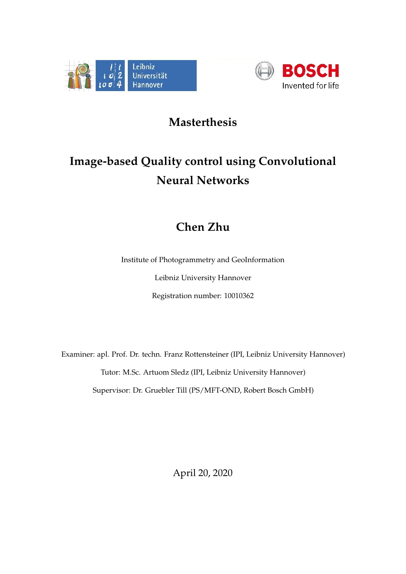



## **Masterthesis**

## **Image-based Quality control using Convolutional Neural Networks**

## **Chen Zhu**

Institute of Photogrammetry and GeoInformation

Leibniz University Hannover

Registration number: 10010362

Examiner: apl. Prof. Dr. techn. Franz Rottensteiner (IPI, Leibniz University Hannover) Tutor: M.Sc. Artuom Sledz (IPI, Leibniz University Hannover) Supervisor: Dr. Gruebler Till (PS/MFT-OND, Robert Bosch GmbH)

April 20, 2020